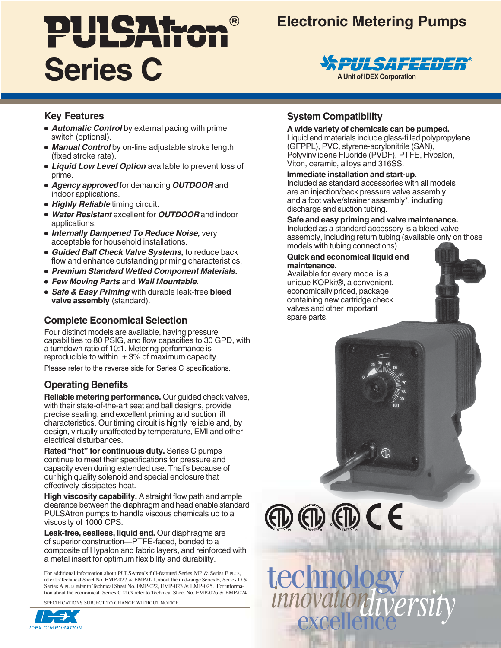# PULSAtzon **Series C**

# **Electronic Metering Pumps**



### **Key Features**

- **Automatic Control** by external pacing with prime switch (optional).
- **Manual Control** by on-line adjustable stroke length (fixed stroke rate).
- **Liquid Low Level Option** available to prevent loss of prime.
- **Agency approved** for demanding **OUTDOOR** and indoor applications.
- **Highly Reliable** timing circuit.
- **Water Resistant** excellent for **OUTDOOR** and indoor applications.
- **Internally Dampened To Reduce Noise,** very acceptable for household installations.
- **Guided Ball Check Valve Systems,** to reduce back flow and enhance outstanding priming characteristics.
- **Premium Standard Wetted Component Materials.**
- **Few Moving Parts** and **Wall Mountable.**
- **Safe & Easy Priming** with durable leak-free **bleed valve assembly** (standard).

# **Complete Economical Selection**

Four distinct models are available, having pressure capabilities to 80 PSIG, and flow capacities to 30 GPD, with a turndown ratio of 10:1. Metering performance is reproducible to within  $\pm 3\%$  of maximum capacity.

Please refer to the reverse side for Series C specifications.

## **Operating Benefits**

**Reliable metering performance.** Our guided check valves, with their state-of-the-art seat and ball designs, provide precise seating, and excellent priming and suction lift characteristics. Our timing circuit is highly reliable and, by design, virtually unaffected by temperature, EMI and other electrical disturbances.

**Rated "hot" for continuous duty.** Series C pumps continue to meet their specifications for pressure and capacity even during extended use. That's because of our high quality solenoid and special enclosure that effectively dissipates heat.

**High viscosity capability.** A straight flow path and ample clearance between the diaphragm and head enable standard PULSAtron pumps to handle viscous chemicals up to a viscosity of 1000 CPS.

**Leak-free, sealless, liquid end.** Our diaphragms are of superior construction—PTFE-faced, bonded to a composite of Hypalon and fabric layers, and reinforced with a metal insert for optimum flexibility and durability.

For additional information about PULSAtron's full-featured Series MP & Series E PLUS, refer to Technical Sheet No. EMP-027 & EMP-021, about the mid-range Series E, Series D & Series A PLUS refer to Technical Sheet No. EMP-022, EMP-023 & EMP-025. For information about the economical Series C PLUS refer to Technical Sheet No. EMP-026 & EMP-024.

SPECIFICATIONS SUBJECT TO CHANGE WITHOUT NOTICE.



# **System Compatibility**

#### **A wide variety of chemicals can be pumped.**

Liquid end materials include glass-filled polypropylene (GFPPL), PVC, styrene-acrylonitrile (SAN), Polyvinylidene Fluoride (PVDF), PTFE, Hypalon, Viton, ceramic, alloys and 316SS.

#### **Immediate installation and start-up.**

Included as standard accessories with all models are an injection/back pressure valve assembly and a foot valve/strainer assembly\*, including discharge and suction tubing.

#### **Safe and easy priming and valve maintenance.**

Included as a standard accessory is a bleed valve assembly, including return tubing (available only on those models with tubing connections).

#### **Quick and economical liquid end maintenance.**

Available for every model is a unique KOPkit®, a convenient, economically priced, package containing new cartridge check valves and other important spare parts.



 $CD$   $CD$   $CD$   $CD$   $CD$ 

excellence *diversity* technology *innovation*